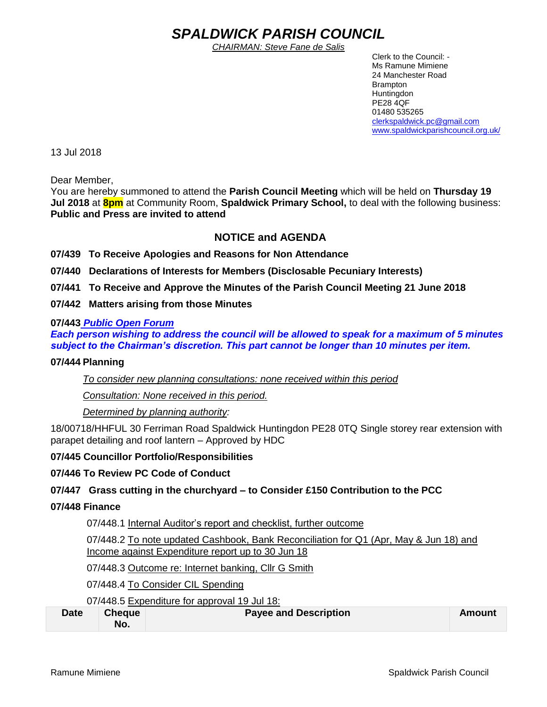# *SPALDWICK PARISH COUNCIL*

*CHAIRMAN: Steve Fane de Salis*

 Clerk to the Council: - Ms Ramune Mimiene 24 Manchester Road Brampton **Huntingdon** PE28 4QF 01480 535265 [clerkspaldwick.pc@gmail.com](mailto:clerkspaldwick.pc@gmail.com) [www.spaldwickparishcouncil.org.uk/](http://www.spaldwickparishcouncil.org.uk/)

13 Jul 2018

Dear Member,

You are hereby summoned to attend the **Parish Council Meeting** which will be held on **Thursday 19 Jul 2018** at **8pm** at Community Room, **Spaldwick Primary School,** to deal with the following business: **Public and Press are invited to attend**

## **NOTICE and AGENDA**

**07/439 To Receive Apologies and Reasons for Non Attendance**

**07/440 Declarations of Interests for Members (Disclosable Pecuniary Interests)**

**07/441 To Receive and Approve the Minutes of the Parish Council Meeting 21 June 2018**

**07/442 Matters arising from those Minutes**

#### **07/443** *Public Open Forum*

*Each person wishing to address the council will be allowed to speak for a maximum of 5 minutes subject to the Chairman's discretion. This part cannot be longer than 10 minutes per item.* 

#### **07/444 Planning**

*To consider new planning consultations: none received within this period*

*Consultation: None received in this period.*

*Determined by planning authority:*

18/00718/HHFUL 30 Ferriman Road Spaldwick Huntingdon PE28 0TQ Single storey rear extension with parapet detailing and roof lantern – Approved by HDC

#### **07/445 Councillor Portfolio/Responsibilities**

#### **07/446 To Review PC Code of Conduct**

#### **07/447 Grass cutting in the churchyard – to Consider £150 Contribution to the PCC**

#### **07/448 Finance**

07/448.1 Internal Auditor's report and checklist, further outcome

07/448.2 To note updated Cashbook, Bank Reconciliation for Q1 (Apr, May & Jun 18) and Income against Expenditure report up to 30 Jun 18

07/448.3 Outcome re: Internet banking, Cllr G Smith

07/448.4 To Consider CIL Spending

07/448.5 Expenditure for approval 19 Jul 18:

| <b>Date</b> | <b>Cheque</b> | <b>Payee and Description</b> | Amount |
|-------------|---------------|------------------------------|--------|
|             | No.           |                              |        |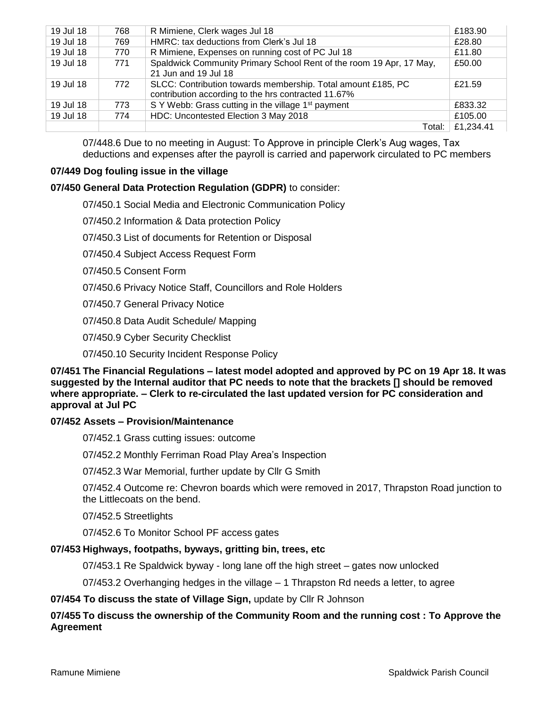| 19 Jul 18 | 768 | R Mimiene, Clerk wages Jul 18                                                                                       | £183.90   |
|-----------|-----|---------------------------------------------------------------------------------------------------------------------|-----------|
| 19 Jul 18 | 769 | HMRC: tax deductions from Clerk's Jul 18                                                                            | £28.80    |
| 19 Jul 18 | 770 | R Mimiene, Expenses on running cost of PC Jul 18                                                                    | £11.80    |
| 19 Jul 18 | 771 | Spaldwick Community Primary School Rent of the room 19 Apr, 17 May,<br>21 Jun and 19 Jul 18                         | £50.00    |
| 19 Jul 18 | 772 | SLCC: Contribution towards membership. Total amount £185, PC<br>contribution according to the hrs contracted 11.67% | £21.59    |
| 19 Jul 18 | 773 | S Y Webb: Grass cutting in the village 1 <sup>st</sup> payment                                                      | £833.32   |
| 19 Jul 18 | 774 | HDC: Uncontested Election 3 May 2018                                                                                | £105.00   |
|           |     | Total:                                                                                                              | £1,234.41 |

07/448.6 Due to no meeting in August: To Approve in principle Clerk's Aug wages, Tax deductions and expenses after the payroll is carried and paperwork circulated to PC members

## **07/449 Dog fouling issue in the village**

## **07/450 General Data Protection Regulation (GDPR)** to consider:

- 07/450.1 Social Media and Electronic Communication Policy
- 07/450.2 Information & Data protection Policy
- 07/450.3 List of documents for Retention or Disposal
- 07/450.4 Subject Access Request Form
- 07/450.5 Consent Form
- 07/450.6 Privacy Notice Staff, Councillors and Role Holders
- 07/450.7 General Privacy Notice
- 07/450.8 Data Audit Schedule/ Mapping
- 07/450.9 Cyber Security Checklist
- 07/450.10 Security Incident Response Policy

**07/451 The Financial Regulations – latest model adopted and approved by PC on 19 Apr 18. It was suggested by the Internal auditor that PC needs to note that the brackets [] should be removed where appropriate. – Clerk to re-circulated the last updated version for PC consideration and approval at Jul PC**

#### **07/452 Assets – Provision/Maintenance**

07/452.1 Grass cutting issues: outcome

07/452.2 Monthly Ferriman Road Play Area's Inspection

07/452.3 War Memorial, further update by Cllr G Smith

07/452.4 Outcome re: Chevron boards which were removed in 2017, Thrapston Road junction to the Littlecoats on the bend.

07/452.5 Streetlights

07/452.6 To Monitor School PF access gates

## **07/453 Highways, footpaths, byways, gritting bin, trees, etc**

07/453.1 Re Spaldwick byway - long lane off the high street – gates now unlocked

07/453.2 Overhanging hedges in the village – 1 Thrapston Rd needs a letter, to agree

#### **07/454 To discuss the state of Village Sign,** update by Cllr R Johnson

## **07/455 To discuss the ownership of the Community Room and the running cost : To Approve the Agreement**